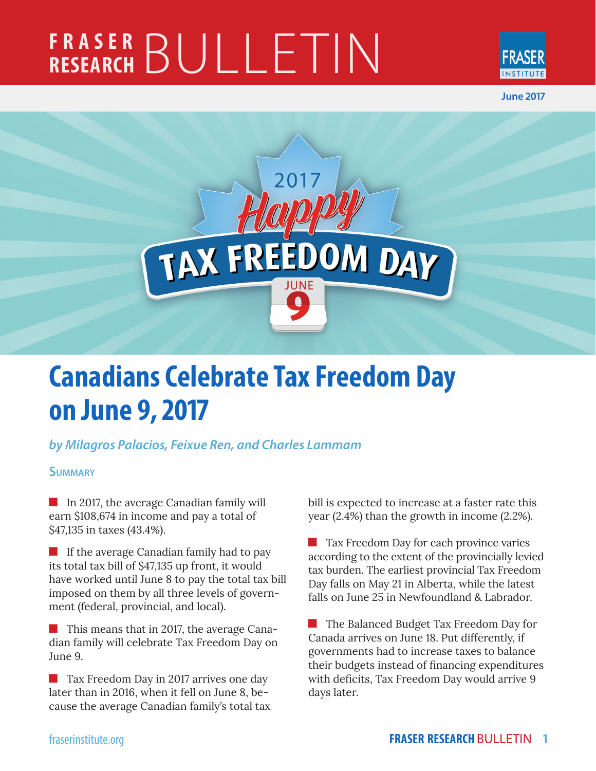# **FRASER RESEARCH** BULLETIN



**June 2017**



# **Canadians Celebrate Tax Freedom Day on June 9, 2017**

# *by Milagros Palacios, Feixue Ren, and Charles Lammam*

# **Summary**

In 2017, the average Canadian family will earn \$108,674 in income and pay a total of \$47,135 in taxes (43.4%).

If the average Canadian family had to pay its total tax bill of \$47,135 up front, it would have worked until June 8 to pay the total tax bill imposed on them by all three levels of government (federal, provincial, and local).

**This means that in 2017, the average Cana**dian family will celebrate Tax Freedom Day on June 9.

**Tax Freedom Day in 2017 arrives one day** later than in 2016, when it fell on June 8, because the average Canadian family's total tax bill is expected to increase at a faster rate this year (2.4%) than the growth in income (2.2%).

 Tax Freedom Day for each province varies according to the extent of the provincially levied tax burden. The earliest provincial Tax Freedom Day falls on May 21 in Alberta, while the latest falls on June 25 in Newfoundland & Labrador.

 The Balanced Budget Tax Freedom Day for Canada arrives on June 18. Put differently, if governments had to increase taxes to balance their budgets instead of financing expenditures with deficits, Tax Freedom Day would arrive 9 days later.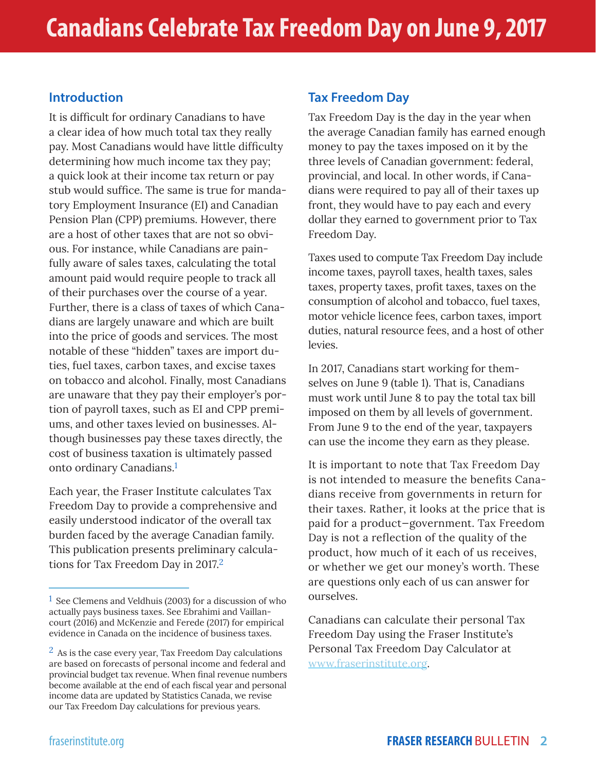# **Introduction**

It is difficult for ordinary Canadians to have a clear idea of how much total tax they really pay. Most Canadians would have little difficulty determining how much income tax they pay; a quick look at their income tax return or pay stub would suffice. The same is true for mandatory Employment Insurance (EI) and Canadian Pension Plan (CPP) premiums. However, there are a host of other taxes that are not so obvious. For instance, while Canadians are painfully aware of sales taxes, calculating the total amount paid would require people to track all of their purchases over the course of a year. Further, there is a class of taxes of which Canadians are largely unaware and which are built into the price of goods and services. The most notable of these "hidden" taxes are import duties, fuel taxes, carbon taxes, and excise taxes on tobacco and alcohol. Finally, most Canadians are unaware that they pay their employer's portion of payroll taxes, such as EI and CPP premiums, and other taxes levied on businesses. Although businesses pay these taxes directly, the cost of business taxation is ultimately passed onto ordinary Canadians.1

Each year, the Fraser Institute calculates Tax Freedom Day to provide a comprehensive and easily understood indicator of the overall tax burden faced by the average Canadian family. This publication presents preliminary calculations for Tax Freedom Day in 2017.2

# **Tax Freedom Day**

Tax Freedom Day is the day in the year when the average Canadian family has earned enough money to pay the taxes imposed on it by the three levels of Canadian government: federal, provincial, and local. In other words, if Canadians were required to pay all of their taxes up front, they would have to pay each and every dollar they earned to government prior to Tax Freedom Day.

Taxes used to compute Tax Freedom Day include income taxes, payroll taxes, health taxes, sales taxes, property taxes, profit taxes, taxes on the consumption of alcohol and tobacco, fuel taxes, motor vehicle licence fees, carbon taxes, import duties, natural resource fees, and a host of other levies.

In 2017, Canadians start working for themselves on June 9 (table 1). That is, Canadians must work until June 8 to pay the total tax bill imposed on them by all levels of government. From June 9 to the end of the year, taxpayers can use the income they earn as they please.

It is important to note that Tax Freedom Day is not intended to measure the benefits Canadians receive from governments in return for their taxes. Rather, it looks at the price that is paid for a product—government. Tax Freedom Day is not a reflection of the quality of the product, how much of it each of us receives, or whether we get our money's worth. These are questions only each of us can answer for ourselves.

Canadians can calculate their personal Tax Freedom Day using the Fraser Institute's Personal Tax Freedom Day Calculator at www.fraserinstitute.org.

<sup>&</sup>lt;sup>1</sup> See Clemens and Veldhuis (2003) for a discussion of who actually pays business taxes. See Ebrahimi and Vaillancourt (2016) and McKenzie and Ferede (2017) for empirical evidence in Canada on the incidence of business taxes.

 $<sup>2</sup>$  As is the case every year, Tax Freedom Day calculations</sup> are based on forecasts of personal income and federal and provincial budget tax revenue. When final revenue numbers become available at the end of each fiscal year and personal income data are updated by Statistics Canada, we revise our Tax Freedom Day calculations for previous years.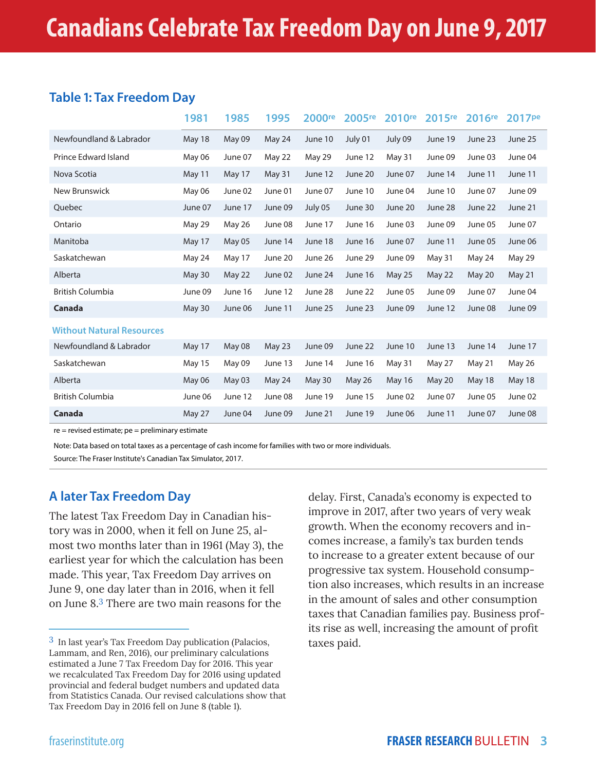# **Table 1: Tax Freedom Day**

|                                  | 1981          | 1985    | 1995    | 2000 <sup>re</sup> | 2005 <sup>re</sup> | 2010 <sup>re</sup> | 2015 <sup>re</sup> | 2016 <sup>re</sup> | 2017 <sup>pe</sup> |
|----------------------------------|---------------|---------|---------|--------------------|--------------------|--------------------|--------------------|--------------------|--------------------|
| Newfoundland & Labrador          | <b>May 18</b> | May 09  | May 24  | June 10            | July 01            | July 09            | June 19            | June 23            | June 25            |
| <b>Prince Edward Island</b>      | May 06        | June 07 | May 22  | May 29             | June 12            | May 31             | June 09            | June 03            | June 04            |
| Nova Scotia                      | May 11        | May 17  | May 31  | June 12            | June 20            | June 07            | June 14            | June 11            | June 11            |
| New Brunswick                    | May 06        | June 02 | June 01 | June 07            | June 10            | June 04            | June 10            | June 07            | June 09            |
| Quebec                           | June 07       | June 17 | June 09 | July 05            | June 30            | June 20            | June 28            | June 22            | June 21            |
| Ontario                          | May 29        | May 26  | June 08 | June 17            | June 16            | June 03            | June 09            | June 05            | June 07            |
| Manitoba                         | May 17        | May 05  | June 14 | June 18            | June 16            | June 07            | June 11            | June 05            | June 06            |
| Saskatchewan                     | May 24        | May 17  | June 20 | June 26            | June 29            | June 09            | May 31             | May 24             | May 29             |
| Alberta                          | May 30        | May 22  | June 02 | June 24            | June 16            | <b>May 25</b>      | May 22             | May 20             | May 21             |
| <b>British Columbia</b>          | June 09       | June 16 | June 12 | June 28            | June 22            | June 05            | June 09            | June 07            | June 04            |
| Canada                           | May 30        | June 06 | June 11 | June 25            | June 23            | June 09            | June 12            | June 08            | June 09            |
| <b>Without Natural Resources</b> |               |         |         |                    |                    |                    |                    |                    |                    |
| Newfoundland & Labrador          | May 17        | May 08  | May 23  | June 09            | June 22            | June 10            | June 13            | June 14            | June 17            |
| Saskatchewan                     | <b>May 15</b> | May 09  | June 13 | June 14            | June 16            | May 31             | May 27             | May 21             | May 26             |
| Alberta                          | May 06        | May 03  | May 24  | May 30             | May 26             | <b>May 16</b>      | May 20             | May 18             | <b>May 18</b>      |
| <b>British Columbia</b>          | June 06       | June 12 | June 08 | June 19            | June 15            | June 02            | June 07            | June 05            | June 02            |
| Canada                           | May 27        | June 04 | June 09 | June 21            | June 19            | June 06            | June 11            | June 07            | June 08            |

re = revised estimate; pe = preliminary estimate

Note: Data based on total taxes as a percentage of cash income for families with two or more individuals.

Source: The Fraser Institute's Canadian Tax Simulator, 2017.

# **A later Tax Freedom Day**

The latest Tax Freedom Day in Canadian history was in 2000, when it fell on June 25, almost two months later than in 1961 (May 3), the earliest year for which the calculation has been made. This year, Tax Freedom Day arrives on June 9, one day later than in 2016, when it fell on June 8.3 There are two main reasons for the

delay. First, Canada's economy is expected to improve in 2017, after two years of very weak growth. When the economy recovers and incomes increase, a family's tax burden tends to increase to a greater extent because of our progressive tax system. Household consumption also increases, which results in an increase in the amount of sales and other consumption taxes that Canadian families pay. Business profits rise as well, increasing the amount of profit taxes paid.

<sup>3</sup> In last year's Tax Freedom Day publication (Palacios, Lammam, and Ren, 2016), our preliminary calculations estimated a June 7 Tax Freedom Day for 2016. This year we recalculated Tax Freedom Day for 2016 using updated provincial and federal budget numbers and updated data from Statistics Canada. Our revised calculations show that Tax Freedom Day in 2016 fell on June 8 (table 1).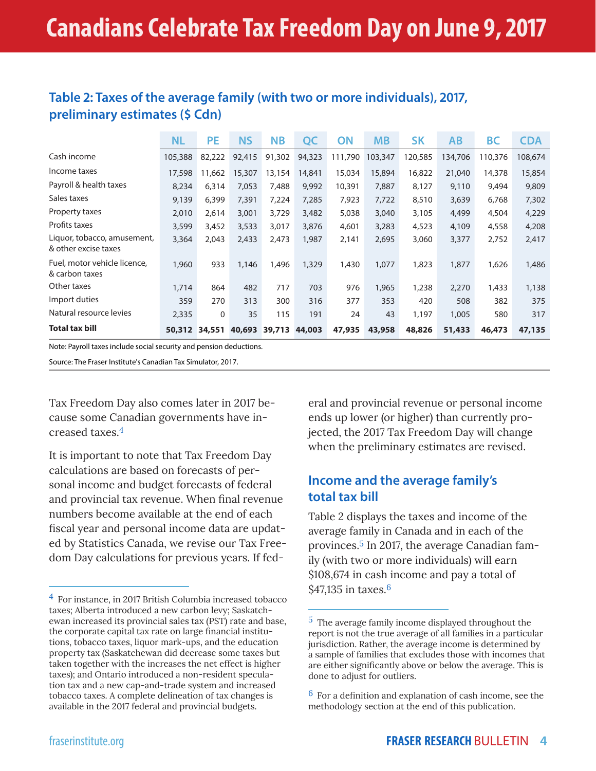| Table 2: Taxes of the average family (with two or more individuals), 2017, |  |
|----------------------------------------------------------------------------|--|
| preliminary estimates (\$ Cdn)                                             |  |

|                                                     | <b>NL</b> | PE            | <b>NS</b>            | <b>NB</b> | QC     | ON      | <b>MB</b> | <b>SK</b> | AB      | <b>BC</b> | <b>CDA</b> |
|-----------------------------------------------------|-----------|---------------|----------------------|-----------|--------|---------|-----------|-----------|---------|-----------|------------|
| Cash income                                         | 105,388   | 82,222        | 92,415               | 91,302    | 94,323 | 111,790 | 103,347   | 120,585   | 134,706 | 110,376   | 108,674    |
| Income taxes                                        | 17,598    | 11,662        | 15,307               | 13,154    | 14,841 | 15,034  | 15,894    | 16,822    | 21,040  | 14,378    | 15,854     |
| Payroll & health taxes                              | 8,234     | 6,314         | 7,053                | 7,488     | 9,992  | 10,391  | 7,887     | 8,127     | 9,110   | 9,494     | 9,809      |
| Sales taxes                                         | 9,139     | 6,399         | 7,391                | 7,224     | 7,285  | 7,923   | 7,722     | 8,510     | 3,639   | 6,768     | 7,302      |
| Property taxes                                      | 2,010     | 2,614         | 3,001                | 3,729     | 3,482  | 5,038   | 3,040     | 3,105     | 4,499   | 4,504     | 4,229      |
| Profits taxes                                       | 3,599     | 3,452         | 3,533                | 3,017     | 3,876  | 4,601   | 3,283     | 4,523     | 4,109   | 4,558     | 4,208      |
| Liquor, tobacco, amusement,<br>& other excise taxes | 3,364     | 2,043         | 2,433                | 2,473     | 1,987  | 2,141   | 2,695     | 3,060     | 3,377   | 2,752     | 2,417      |
| Fuel, motor vehicle licence,<br>& carbon taxes      | 1,960     | 933           | 1,146                | 1,496     | 1,329  | 1,430   | 1,077     | 1,823     | 1,877   | 1,626     | 1,486      |
| Other taxes                                         | 1,714     | 864           | 482                  | 717       | 703    | 976     | 1,965     | 1,238     | 2,270   | 1,433     | 1,138      |
| Import duties                                       | 359       | 270           | 313                  | 300       | 316    | 377     | 353       | 420       | 508     | 382       | 375        |
| Natural resource levies                             | 2,335     | $\mathbf{0}$  | 35                   | 115       | 191    | 24      | 43        | 1,197     | 1,005   | 580       | 317        |
| <b>Total tax bill</b>                               |           | 50,312 34,551 | 40,693 39,713 44,003 |           |        | 47,935  | 43,958    | 48,826    | 51,433  | 46,473    | 47,135     |

Note: Payroll taxes include social security and pension deductions.

Source: The Fraser Institute's Canadian Tax Simulator, 2017.

Tax Freedom Day also comes later in 2017 because some Canadian governments have increased taxes.4

It is important to note that Tax Freedom Day calculations are based on forecasts of personal income and budget forecasts of federal and provincial tax revenue. When final revenue numbers become available at the end of each fiscal year and personal income data are updated by Statistics Canada, we revise our Tax Freedom Day calculations for previous years. If federal and provincial revenue or personal income ends up lower (or higher) than currently projected, the 2017 Tax Freedom Day will change when the preliminary estimates are revised.

# **Income and the average family's total tax bill**

Table 2 displays the taxes and income of the average family in Canada and in each of the provinces.5 In 2017, the average Canadian family (with two or more individuals) will earn \$108,674 in cash income and pay a total of \$47,135 in taxes.<sup>6</sup>

<sup>4</sup> For instance, in 2017 British Columbia increased tobacco taxes; Alberta introduced a new carbon levy; Saskatchewan increased its provincial sales tax (PST) rate and base, the corporate capital tax rate on large financial institutions, tobacco taxes, liquor mark-ups, and the education property tax (Saskatchewan did decrease some taxes but taken together with the increases the net effect is higher taxes); and Ontario introduced a non-resident speculation tax and a new cap-and-trade system and increased tobacco taxes. A complete delineation of tax changes is available in the 2017 federal and provincial budgets.

<sup>5</sup> The average family income displayed throughout the report is not the true average of all families in a particular jurisdiction. Rather, the average income is determined by a sample of families that excludes those with incomes that are either significantly above or below the average. This is done to adjust for outliers.

<sup>6</sup> For a definition and explanation of cash income, see the methodology section at the end of this publication.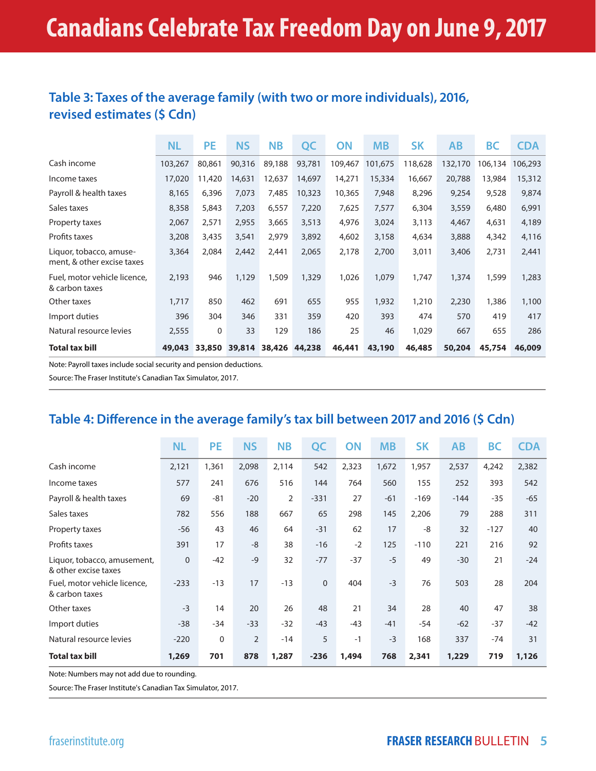# **Table 3: Taxes of the average family (with two or more individuals), 2016, revised estimates (\$ Cdn)**

|                                                       | <b>NL</b> | <b>PE</b>   | <b>NS</b> | <b>NB</b> | QC     | <b>ON</b> | <b>MB</b> | <b>SK</b> | <b>AB</b> | <b>BC</b> | <b>CDA</b> |
|-------------------------------------------------------|-----------|-------------|-----------|-----------|--------|-----------|-----------|-----------|-----------|-----------|------------|
| Cash income                                           | 103,267   | 80,861      | 90,316    | 89,188    | 93,781 | 109,467   | 101,675   | 118,628   | 132,170   | 106,134   | 106,293    |
| Income taxes                                          | 17,020    | 11,420      | 14,631    | 12,637    | 14,697 | 14,271    | 15,334    | 16,667    | 20,788    | 13,984    | 15,312     |
| Payroll & health taxes                                | 8,165     | 6,396       | 7,073     | 7,485     | 10,323 | 10,365    | 7,948     | 8,296     | 9,254     | 9,528     | 9,874      |
| Sales taxes                                           | 8,358     | 5,843       | 7,203     | 6,557     | 7,220  | 7,625     | 7,577     | 6,304     | 3,559     | 6,480     | 6,991      |
| Property taxes                                        | 2,067     | 2,571       | 2,955     | 3,665     | 3,513  | 4,976     | 3,024     | 3,113     | 4,467     | 4,631     | 4,189      |
| Profits taxes                                         | 3,208     | 3,435       | 3,541     | 2,979     | 3,892  | 4,602     | 3,158     | 4,634     | 3,888     | 4,342     | 4,116      |
| Liquor, tobacco, amuse-<br>ment, & other excise taxes | 3,364     | 2,084       | 2,442     | 2,441     | 2,065  | 2,178     | 2,700     | 3,011     | 3,406     | 2,731     | 2,441      |
| Fuel, motor vehicle licence,<br>& carbon taxes        | 2,193     | 946         | 1,129     | 1,509     | 1,329  | 1,026     | 1,079     | 1,747     | 1,374     | 1,599     | 1,283      |
| Other taxes                                           | 1,717     | 850         | 462       | 691       | 655    | 955       | 1,932     | 1,210     | 2,230     | 1,386     | 1,100      |
| Import duties                                         | 396       | 304         | 346       | 331       | 359    | 420       | 393       | 474       | 570       | 419       | 417        |
| Natural resource levies                               | 2,555     | $\mathbf 0$ | 33        | 129       | 186    | 25        | 46        | 1,029     | 667       | 655       | 286        |
| <b>Total tax bill</b>                                 | 49,043    | 33,850      | 39,814    | 38,426    | 44,238 | 46,441    | 43,190    | 46,485    | 50,204    | 45,754    | 46,009     |

Note: Payroll taxes include social security and pension deductions.

Source: The Fraser Institute's Canadian Tax Simulator, 2017.

# **Table 4: Difference in the average family's tax bill between 2017 and 2016 (\$ Cdn)**

|                                                     | <b>NL</b>    | <b>PE</b> | <b>NS</b>      | <b>NB</b> | QC          | ON    | <b>MB</b> | <b>SK</b> | <b>AB</b> | <b>BC</b> | <b>CDA</b> |
|-----------------------------------------------------|--------------|-----------|----------------|-----------|-------------|-------|-----------|-----------|-----------|-----------|------------|
| Cash income                                         | 2,121        | 1,361     | 2,098          | 2,114     | 542         | 2,323 | 1,672     | 1,957     | 2,537     | 4,242     | 2,382      |
| Income taxes                                        | 577          | 241       | 676            | 516       | 144         | 764   | 560       | 155       | 252       | 393       | 542        |
| Payroll & health taxes                              | 69           | $-81$     | $-20$          | 2         | $-331$      | 27    | $-61$     | $-169$    | $-144$    | $-35$     | $-65$      |
| Sales taxes                                         | 782          | 556       | 188            | 667       | 65          | 298   | 145       | 2,206     | 79        | 288       | 311        |
| Property taxes                                      | $-56$        | 43        | 46             | 64        | $-31$       | 62    | 17        | -8        | 32        | $-127$    | 40         |
| Profits taxes                                       | 391          | 17        | $-8$           | 38        | $-16$       | $-2$  | 125       | $-110$    | 221       | 216       | 92         |
| Liquor, tobacco, amusement,<br>& other excise taxes | $\mathbf{0}$ | $-42$     | $-9$           | 32        | $-77$       | $-37$ | $-5$      | 49        | $-30$     | 21        | $-24$      |
| Fuel, motor vehicle licence,<br>& carbon taxes      | $-233$       | $-13$     | 17             | $-13$     | $\mathbf 0$ | 404   | $-3$      | 76        | 503       | 28        | 204        |
| Other taxes                                         | $-3$         | 14        | 20             | 26        | 48          | 21    | 34        | 28        | 40        | 47        | 38         |
| Import duties                                       | $-38$        | $-34$     | $-33$          | $-32$     | $-43$       | $-43$ | $-41$     | $-54$     | $-62$     | $-37$     | $-42$      |
| Natural resource levies                             | $-220$       | 0         | $\overline{2}$ | $-14$     | 5           | $-1$  | $-3$      | 168       | 337       | $-74$     | 31         |
| <b>Total tax bill</b>                               | 1,269        | 701       | 878            | 1,287     | $-236$      | 1,494 | 768       | 2,341     | 1,229     | 719       | 1,126      |

Note: Numbers may not add due to rounding.

Source: The Fraser Institute's Canadian Tax Simulator, 2017.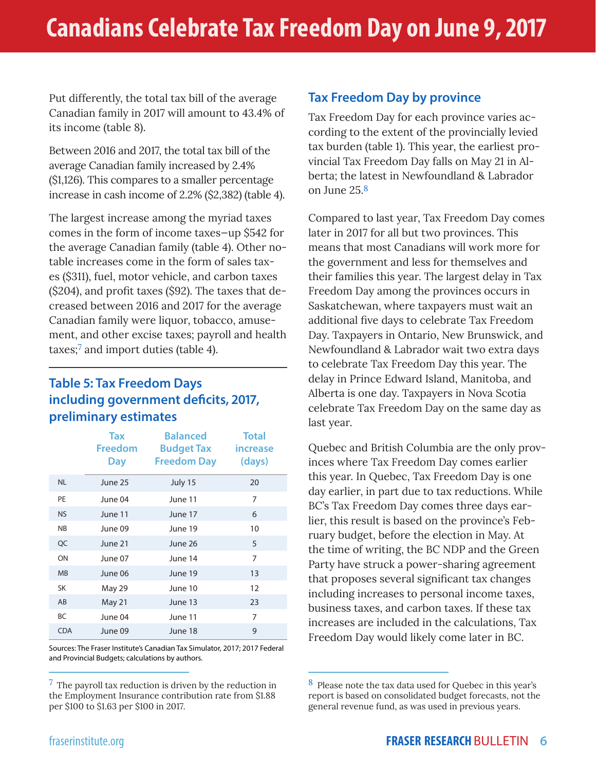Put differently, the total tax bill of the average Canadian family in 2017 will amount to 43.4% of its income (table 8).

Between 2016 and 2017, the total tax bill of the average Canadian family increased by 2.4% (\$1,126). This compares to a smaller percentage increase in cash income of 2.2% (\$2,382) (table 4).

The largest increase among the myriad taxes comes in the form of income taxes—up \$542 for the average Canadian family (table 4). Other notable increases come in the form of sales taxes (\$311), fuel, motor vehicle, and carbon taxes (\$204), and profit taxes (\$92). The taxes that decreased between 2016 and 2017 for the average Canadian family were liquor, tobacco, amusement, and other excise taxes; payroll and health taxes; $\frac{7}{7}$  and import duties (table 4).

# **Table 5: Tax Freedom Days including government deficits, 2017, preliminary estimates**

|            | Tax            | <b>Balanced</b>    | <b>Total</b> |
|------------|----------------|--------------------|--------------|
|            | <b>Freedom</b> | <b>Budget Tax</b>  | increase     |
|            | <b>Day</b>     | <b>Freedom Day</b> | (days)       |
| <b>NL</b>  | June 25        | July 15            | 20           |
| PE         | June 04        | June 11            | 7            |
| <b>NS</b>  | June 11        | June 17            | 6            |
| <b>NB</b>  | June 09        | June 19            | 10           |
| QC         | June 21        | June 26            | 5            |
| ON         | June 07        | June 14            | 7            |
| <b>MB</b>  | June 06        | June 19            | 13           |
| <b>SK</b>  | May 29         | June 10            | 12           |
| AB         | May 21         | June 13            | 23           |
| BC         | June 04        | June 11            | 7            |
| <b>CDA</b> | June 09        | June 18            | 9            |

Sources: The Fraser Institute's Canadian Tax Simulator, 2017; 2017 Federal and Provincial Budgets; calculations by authors.

 $7$  The payroll tax reduction is driven by the reduction in the Employment Insurance contribution rate from \$1.88 per \$100 to \$1.63 per \$100 in 2017.

# **Tax Freedom Day by province**

Tax Freedom Day for each province varies according to the extent of the provincially levied tax burden (table 1). This year, the earliest provincial Tax Freedom Day falls on May 21 in Alberta; the latest in Newfoundland & Labrador on June 25.8

Compared to last year, Tax Freedom Day comes later in 2017 for all but two provinces. This means that most Canadians will work more for the government and less for themselves and their families this year. The largest delay in Tax Freedom Day among the provinces occurs in Saskatchewan, where taxpayers must wait an additional five days to celebrate Tax Freedom Day. Taxpayers in Ontario, New Brunswick, and Newfoundland & Labrador wait two extra days to celebrate Tax Freedom Day this year. The delay in Prince Edward Island, Manitoba, and Alberta is one day. Taxpayers in Nova Scotia celebrate Tax Freedom Day on the same day as last year.

Quebec and British Columbia are the only provinces where Tax Freedom Day comes earlier this year. In Quebec, Tax Freedom Day is one day earlier, in part due to tax reductions. While BC's Tax Freedom Day comes three days earlier, this result is based on the province's February budget, before the election in May. At the time of writing, the BC NDP and the Green Party have struck a power-sharing agreement that proposes several significant tax changes including increases to personal income taxes, business taxes, and carbon taxes. If these tax increases are included in the calculations, Tax Freedom Day would likely come later in BC.

<sup>8</sup> Please note the tax data used for Quebec in this year's report is based on consolidated budget forecasts, not the general revenue fund, as was used in previous years.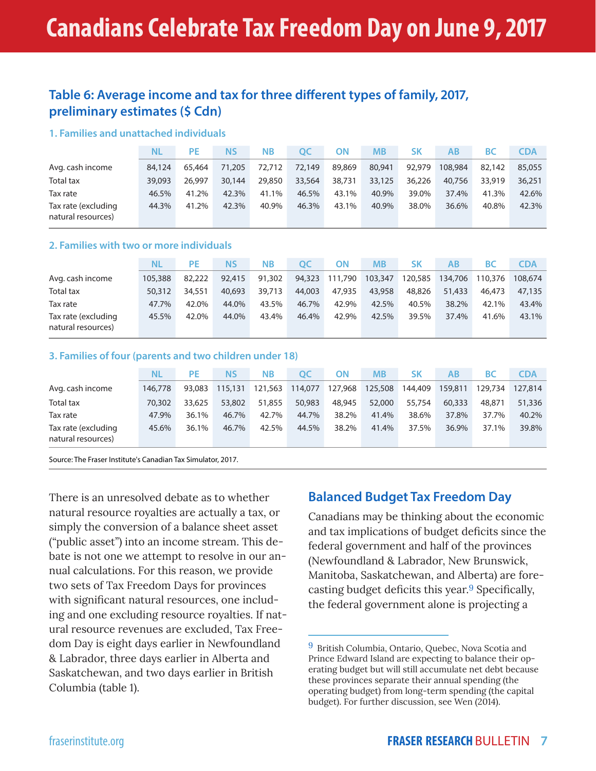# **Table 6: Average income and tax for three different types of family, 2017, preliminary estimates (\$ Cdn)**

#### **1. Families and unattached individuals**

|                                           | NL     | <b>PE</b> | <b>NS</b> | <b>NB</b> | ОС     | ΟN     | МB     | SΚ     | AB      | ВC     | <b>CDA</b> |
|-------------------------------------------|--------|-----------|-----------|-----------|--------|--------|--------|--------|---------|--------|------------|
| Avg. cash income                          | 84,124 | 65.464    | 71,205    | 72.712    | 72.149 | 89,869 | 80,941 | 92,979 | 108,984 | 82.142 | 85,055     |
| Total tax                                 | 39,093 | 26.997    | 30,144    | 29,850    | 33,564 | 38,731 | 33,125 | 36,226 | 40,756  | 33,919 | 36,251     |
| Tax rate                                  | 46.5%  | 41.2%     | 42.3%     | 41.1%     | 46.5%  | 43.1%  | 40.9%  | 39.0%  | 37.4%   | 41.3%  | 42.6%      |
| Tax rate (excluding<br>natural resources) | 44.3%  | 41.2%     | 42.3%     | 40.9%     | 46.3%  | 43.1%  | 40.9%  | 38.0%  | 36.6%   | 40.8%  | 42.3%      |

#### **2. Families with two or more individuals**

|                                           | NL      | PF.    | ΝS     | <b>NB</b> | OC     | ΟN      | <b>MB</b> | SΚ      | AB      | ВC      | <b>CDA</b> |
|-------------------------------------------|---------|--------|--------|-----------|--------|---------|-----------|---------|---------|---------|------------|
| Avg. cash income                          | 105,388 | 82,222 | 92,415 | 91,302    | 94,323 | 111,790 | 103,347   | 120,585 | 134,706 | 110,376 | 108.674    |
| Total tax                                 | 50,312  | 34.551 | 40,693 | 39,713    | 44,003 | 47,935  | 43,958    | 48,826  | 51,433  | 46.473  | 47.135     |
| Tax rate                                  | 47.7%   | 42.0%  | 44.0%  | 43.5%     | 46.7%  | 42.9%   | 42.5%     | 40.5%   | 38.2%   | 42.1%   | 43.4%      |
| Tax rate (excluding<br>natural resources) | 45.5%   | 42.0%  | 44.0%  | 43.4%     | 46.4%  | 42.9%   | 42.5%     | 39.5%   | 37.4%   | 41.6%   | 43.1%      |

#### **3. Families of four (parents and two children under 18)**

|                                           | NL      | <b>PE</b> | ΝS      | <b>NB</b> | OC      | ΟN      | <b>MB</b> | <b>SK</b> | AB      | ВC      | <b>CDA</b> |
|-------------------------------------------|---------|-----------|---------|-----------|---------|---------|-----------|-----------|---------|---------|------------|
| Avg. cash income                          | 146,778 | 93.083    | 115,131 | 121,563   | 114,077 | 127,968 | 125,508   | 144,409   | 159,811 | 129,734 | 127,814    |
| <b>Total tax</b>                          | 70,302  | 33,625    | 53,802  | 51,855    | 50,983  | 48,945  | 52,000    | 55,754    | 60,333  | 48.871  | 51,336     |
| Tax rate                                  | 47.9%   | 36.1%     | 46.7%   | 42.7%     | 44.7%   | 38.2%   | 41.4%     | 38.6%     | 37.8%   | 37.7%   | 40.2%      |
| Tax rate (excluding<br>natural resources) | 45.6%   | 36.1%     | 46.7%   | 42.5%     | 44.5%   | 38.2%   | 41.4%     | 37.5%     | 36.9%   | 37.1%   | 39.8%      |

Source: The Fraser Institute's Canadian Tax Simulator, 2017.

There is an unresolved debate as to whether natural resource royalties are actually a tax, or simply the conversion of a balance sheet asset ("public asset") into an income stream. This debate is not one we attempt to resolve in our annual calculations. For this reason, we provide two sets of Tax Freedom Days for provinces with significant natural resources, one including and one excluding resource royalties. If natural resource revenues are excluded, Tax Freedom Day is eight days earlier in Newfoundland & Labrador, three days earlier in Alberta and Saskatchewan, and two days earlier in British Columbia (table 1).

# **Balanced Budget Tax Freedom Day**

Canadians may be thinking about the economic and tax implications of budget deficits since the federal government and half of the provinces (Newfoundland & Labrador, New Brunswick, Manitoba, Saskatchewan, and Alberta) are forecasting budget deficits this year.9 Specifically, the federal government alone is projecting a

<sup>9</sup> British Columbia, Ontario, Quebec, Nova Scotia and Prince Edward Island are expecting to balance their operating budget but will still accumulate net debt because these provinces separate their annual spending (the operating budget) from long-term spending (the capital budget). For further discussion, see Wen (2014).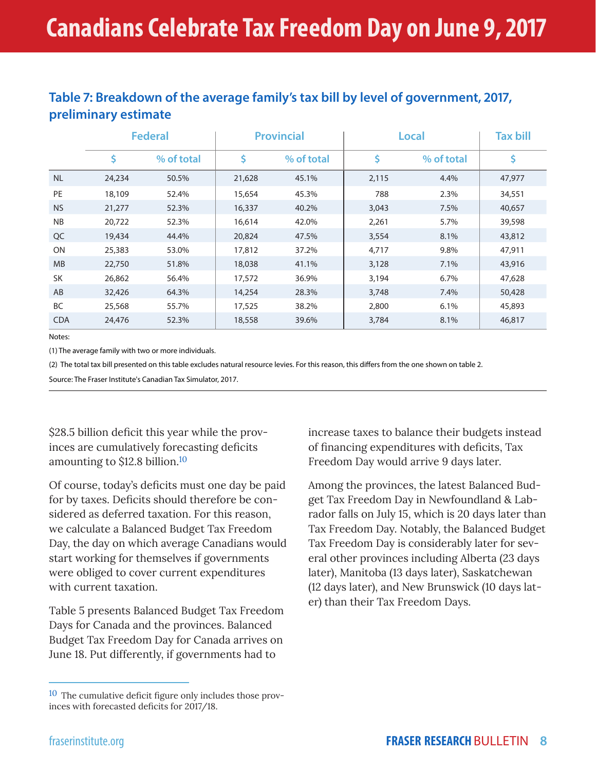# **Table 7: Breakdown of the average family's tax bill by level of government, 2017, preliminary estimate**

|            |        | <b>Federal</b> |        | <b>Provincial</b> |       | Local      | <b>Tax bill</b> |
|------------|--------|----------------|--------|-------------------|-------|------------|-----------------|
|            | \$     | % of total     | \$     | % of total        | \$    | % of total | \$              |
| <b>NL</b>  | 24,234 | 50.5%          | 21,628 | 45.1%             | 2,115 | 4.4%       | 47,977          |
| PE         | 18,109 | 52.4%          | 15,654 | 45.3%             | 788   | 2.3%       | 34,551          |
| <b>NS</b>  | 21,277 | 52.3%          | 16,337 | 40.2%             | 3,043 | 7.5%       | 40,657          |
| <b>NB</b>  | 20,722 | 52.3%          | 16,614 | 42.0%             | 2,261 | 5.7%       | 39,598          |
| QC         | 19,434 | 44.4%          | 20,824 | 47.5%             | 3,554 | 8.1%       | 43,812          |
| ON         | 25,383 | 53.0%          | 17,812 | 37.2%             | 4,717 | 9.8%       | 47,911          |
| <b>MB</b>  | 22,750 | 51.8%          | 18,038 | 41.1%             | 3,128 | 7.1%       | 43,916          |
| <b>SK</b>  | 26,862 | 56.4%          | 17,572 | 36.9%             | 3,194 | 6.7%       | 47,628          |
| AB         | 32,426 | 64.3%          | 14,254 | 28.3%             | 3,748 | 7.4%       | 50,428          |
| <b>BC</b>  | 25,568 | 55.7%          | 17,525 | 38.2%             | 2,800 | 6.1%       | 45,893          |
| <b>CDA</b> | 24,476 | 52.3%          | 18,558 | 39.6%             | 3,784 | 8.1%       | 46,817          |

Notes:

(1) The average family with two or more individuals.

(2) The total tax bill presented on this table excludes natural resource levies. For this reason, this differs from the one shown on table 2.

Source: The Fraser Institute's Canadian Tax Simulator, 2017.

\$28.5 billion deficit this year while the provinces are cumulatively forecasting deficits amounting to \$12.8 billion.10

Of course, today's deficits must one day be paid for by taxes. Deficits should therefore be considered as deferred taxation. For this reason, we calculate a Balanced Budget Tax Freedom Day, the day on which average Canadians would start working for themselves if governments were obliged to cover current expenditures with current taxation.

Table 5 presents Balanced Budget Tax Freedom Days for Canada and the provinces. Balanced Budget Tax Freedom Day for Canada arrives on June 18. Put differently, if governments had to

increase taxes to balance their budgets instead of financing expenditures with deficits, Tax Freedom Day would arrive 9 days later.

Among the provinces, the latest Balanced Budget Tax Freedom Day in Newfoundland & Labrador falls on July 15, which is 20 days later than Tax Freedom Day. Notably, the Balanced Budget Tax Freedom Day is considerably later for several other provinces including Alberta (23 days later), Manitoba (13 days later), Saskatchewan (12 days later), and New Brunswick (10 days later) than their Tax Freedom Days.

 $10$  The cumulative deficit figure only includes those provinces with forecasted deficits for 2017/18.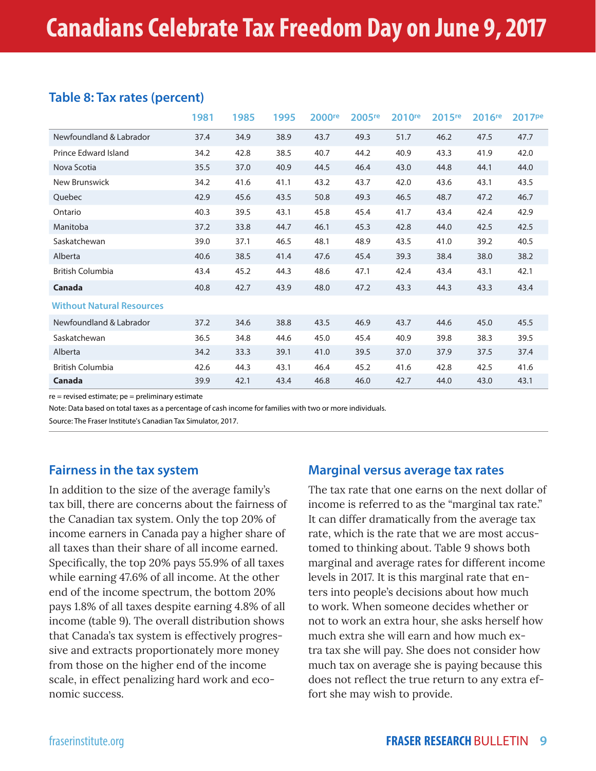# **Table 8: Tax rates (percent)**

|                                  | 1981 | 1985 | 1995 | 2000 <sup>re</sup> | $2005$ <sup>re</sup> | 2010 <sup>re</sup> | 2015 <sup>re</sup> | 2016 <sup>re</sup> | 2017 <sup>pe</sup> |
|----------------------------------|------|------|------|--------------------|----------------------|--------------------|--------------------|--------------------|--------------------|
| Newfoundland & Labrador          | 37.4 | 34.9 | 38.9 | 43.7               | 49.3                 | 51.7               | 46.2               | 47.5               | 47.7               |
| Prince Edward Island             | 34.2 | 42.8 | 38.5 | 40.7               | 44.2                 | 40.9               | 43.3               | 41.9               | 42.0               |
| Nova Scotia                      | 35.5 | 37.0 | 40.9 | 44.5               | 46.4                 | 43.0               | 44.8               | 44.1               | 44.0               |
| New Brunswick                    | 34.2 | 41.6 | 41.1 | 43.2               | 43.7                 | 42.0               | 43.6               | 43.1               | 43.5               |
| Quebec                           | 42.9 | 45.6 | 43.5 | 50.8               | 49.3                 | 46.5               | 48.7               | 47.2               | 46.7               |
| Ontario                          | 40.3 | 39.5 | 43.1 | 45.8               | 45.4                 | 41.7               | 43.4               | 42.4               | 42.9               |
| Manitoba                         | 37.2 | 33.8 | 44.7 | 46.1               | 45.3                 | 42.8               | 44.0               | 42.5               | 42.5               |
| Saskatchewan                     | 39.0 | 37.1 | 46.5 | 48.1               | 48.9                 | 43.5               | 41.0               | 39.2               | 40.5               |
| Alberta                          | 40.6 | 38.5 | 41.4 | 47.6               | 45.4                 | 39.3               | 38.4               | 38.0               | 38.2               |
| <b>British Columbia</b>          | 43.4 | 45.2 | 44.3 | 48.6               | 47.1                 | 42.4               | 43.4               | 43.1               | 42.1               |
| Canada                           | 40.8 | 42.7 | 43.9 | 48.0               | 47.2                 | 43.3               | 44.3               | 43.3               | 43.4               |
| <b>Without Natural Resources</b> |      |      |      |                    |                      |                    |                    |                    |                    |
| Newfoundland & Labrador          | 37.2 | 34.6 | 38.8 | 43.5               | 46.9                 | 43.7               | 44.6               | 45.0               | 45.5               |
| Saskatchewan                     | 36.5 | 34.8 | 44.6 | 45.0               | 45.4                 | 40.9               | 39.8               | 38.3               | 39.5               |
| Alberta                          | 34.2 | 33.3 | 39.1 | 41.0               | 39.5                 | 37.0               | 37.9               | 37.5               | 37.4               |
| <b>British Columbia</b>          | 42.6 | 44.3 | 43.1 | 46.4               | 45.2                 | 41.6               | 42.8               | 42.5               | 41.6               |
| Canada                           | 39.9 | 42.1 | 43.4 | 46.8               | 46.0                 | 42.7               | 44.0               | 43.0               | 43.1               |

re = revised estimate; pe = preliminary estimate

Note: Data based on total taxes as a percentage of cash income for families with two or more individuals.

Source: The Fraser Institute's Canadian Tax Simulator, 2017.

# **Fairness in the tax system**

In addition to the size of the average family's tax bill, there are concerns about the fairness of the Canadian tax system. Only the top 20% of income earners in Canada pay a higher share of all taxes than their share of all income earned. Specifically, the top 20% pays 55.9% of all taxes while earning 47.6% of all income. At the other end of the income spectrum, the bottom 20% pays 1.8% of all taxes despite earning 4.8% of all income (table 9). The overall distribution shows that Canada's tax system is effectively progressive and extracts proportionately more money from those on the higher end of the income scale, in effect penalizing hard work and economic success.

### **Marginal versus average tax rates**

The tax rate that one earns on the next dollar of income is referred to as the "marginal tax rate." It can differ dramatically from the average tax rate, which is the rate that we are most accustomed to thinking about. Table 9 shows both marginal and average rates for different income levels in 2017. It is this marginal rate that enters into people's decisions about how much to work. When someone decides whether or not to work an extra hour, she asks herself how much extra she will earn and how much extra tax she will pay. She does not consider how much tax on average she is paying because this does not reflect the true return to any extra effort she may wish to provide.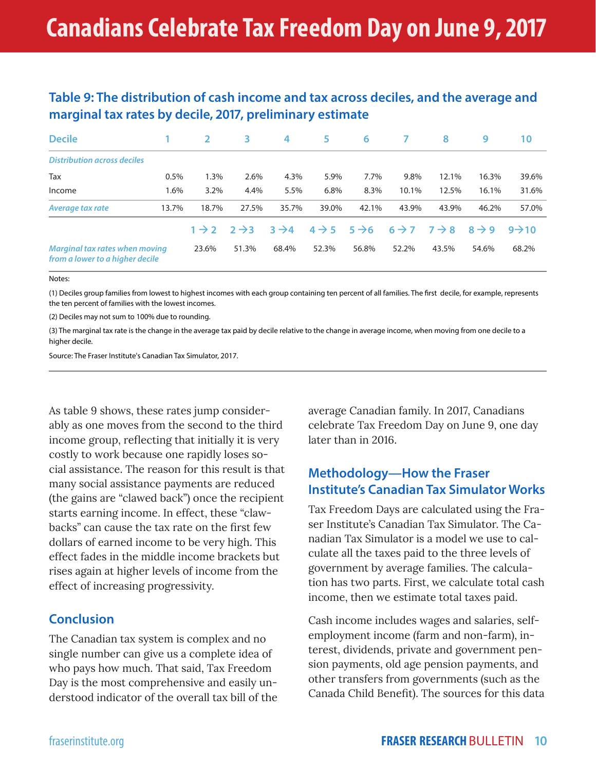# **Table 9: The distribution of cash income and tax across deciles, and the average and marginal tax rates by decile, 2017, preliminary estimate**

| <b>Decile</b>                                                     |       | $\overline{2}$    | 3                 | 4                 | 5                 | 6                 |                                     | 8     | 9                 | 10                 |
|-------------------------------------------------------------------|-------|-------------------|-------------------|-------------------|-------------------|-------------------|-------------------------------------|-------|-------------------|--------------------|
| <b>Distribution across deciles</b>                                |       |                   |                   |                   |                   |                   |                                     |       |                   |                    |
| Tax                                                               | 0.5%  | 1.3%              | 2.6%              | 4.3%              | 5.9%              | 7.7%              | 9.8%                                | 12.1% | 16.3%             | 39.6%              |
| Income                                                            | 1.6%  | 3.2%              | 4.4%              | 5.5%              | 6.8%              | 8.3%              | 10.1%                               | 12.5% | 16.1%             | 31.6%              |
| Average tax rate                                                  | 13.7% | 18.7%             | 27.5%             | 35.7%             | 39.0%             | 42.1%             | 43.9%                               | 43.9% | 46.2%             | 57.0%              |
|                                                                   |       | $1 \rightarrow 2$ | $2 \rightarrow 3$ | $3 \rightarrow 4$ | $4 \rightarrow 5$ | $5 \rightarrow 6$ | $6 \rightarrow 7$ $7 \rightarrow 8$ |       | $8 \rightarrow 9$ | $9 \rightarrow 10$ |
| Marginal tax rates when moving<br>from a lower to a higher decile |       | 23.6%             | 51.3%             | 68.4%             | 52.3%             | 56.8%             | 52.2%                               | 43.5% | 54.6%             | 68.2%              |

#### Notes:

(1) Deciles group families from lowest to highest incomes with each group containing ten percent of all families. The first decile, for example, represents the ten percent of families with the lowest incomes.

(2) Deciles may not sum to 100% due to rounding.

(3) The marginal tax rate is the change in the average tax paid by decile relative to the change in average income, when moving from one decile to a higher decile.

Source: The Fraser Institute's Canadian Tax Simulator, 2017.

As table 9 shows, these rates jump considerably as one moves from the second to the third income group, reflecting that initially it is very costly to work because one rapidly loses social assistance. The reason for this result is that many social assistance payments are reduced (the gains are "clawed back") once the recipient starts earning income. In effect, these "clawbacks" can cause the tax rate on the first few dollars of earned income to be very high. This effect fades in the middle income brackets but rises again at higher levels of income from the effect of increasing progressivity.

## **Conclusion**

The Canadian tax system is complex and no single number can give us a complete idea of who pays how much. That said, Tax Freedom Day is the most comprehensive and easily understood indicator of the overall tax bill of the average Canadian family. In 2017, Canadians celebrate Tax Freedom Day on June 9, one day later than in 2016.

# **Methodology—How the Fraser Institute's Canadian Tax Simulator Works**

Tax Freedom Days are calculated using the Fraser Institute's Canadian Tax Simulator. The Canadian Tax Simulator is a model we use to calculate all the taxes paid to the three levels of government by average families. The calculation has two parts. First, we calculate total cash income, then we estimate total taxes paid.

Cash income includes wages and salaries, selfemployment income (farm and non-farm), interest, dividends, private and government pension payments, old age pension payments, and other transfers from governments (such as the Canada Child Benefit). The sources for this data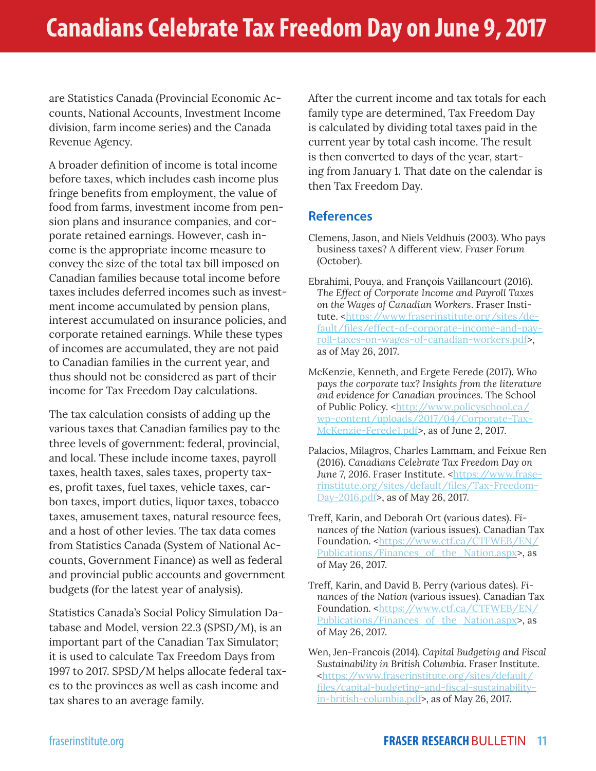are Statistics Canada (Provincial Economic Accounts, National Accounts, Investment Income division, farm income series) and the Canada Revenue Agency.

A broader definition of income is total income before taxes, which includes cash income plus fringe benefits from employment, the value of food from farms, investment income from pension plans and insurance companies, and corporate retained earnings. However, cash income is the appropriate income measure to convey the size of the total tax bill imposed on Canadian families because total income before taxes includes deferred incomes such as investment income accumulated by pension plans, interest accumulated on insurance policies, and corporate retained earnings. While these types of incomes are accumulated, they are not paid to Canadian families in the current year, and thus should not be considered as part of their income for Tax Freedom Day calculations.

The tax calculation consists of adding up the various taxes that Canadian families pay to the three levels of government: federal, provincial, and local. These include income taxes, payroll taxes, health taxes, sales taxes, property taxes, profit taxes, fuel taxes, vehicle taxes, carbon taxes, import duties, liquor taxes, tobacco taxes, amusement taxes, natural resource fees, and a host of other levies. The tax data comes from Statistics Canada (System of National Accounts, Government Finance) as well as federal and provincial public accounts and government budgets (for the latest year of analysis).

Statistics Canada's Social Policy Simulation Database and Model, version 22.3 (SPSD/M), is an important part of the Canadian Tax Simulator; it is used to calculate Tax Freedom Days from 1997 to 2017. SPSD/M helps allocate federal taxes to the provinces as well as cash income and tax shares to an average family.

After the current income and tax totals for each family type are determined, Tax Freedom Day is calculated by dividing total taxes paid in the current year by total cash income. The result is then converted to days of the year, starting from January 1. That date on the calendar is then Tax Freedom Day.

# **References**

- Clemens, Jason, and Niels Veldhuis (2003). Who pays business taxes? A different view. *Fraser Forum* (October).
- Ebrahimi, Pouya, and François Vaillancourt (2016). *The Effect of Corporate Income and Payroll Taxes on the Wages of Canadian Workers*. Fraser Institute. <https://www.fraserinstitute.org/sites/default/files/effect-of-corporate-income-and-payroll-taxes-on-wages-of-canadian-workers.pdf>, as of May 26, 2017.
- McKenzie, Kenneth, and Ergete Ferede (2017). *Who pays the corporate tax? Insights from the literature and evidence for Canadian provinces*. The School of Public Policy. <http://www.policyschool.ca/ wp-content/uploads/2017/04/Corporate-Tax-McKenzie-Ferede1.pdf>, as of June 2, 2017.
- Palacios, Milagros, Charles Lammam, and Feixue Ren (2016). *Canadians Celebrate Tax Freedom Day on*  June 7, 2016. Fraser Institute. <https://www.fraserinstitute.org/sites/default/files/Tax-Freedom-Day-2016.pdf>, as of May 26, 2017.
- Treff, Karin, and Deborah Ort (various dates). *Finances of the Nation* (various issues). Canadian Tax Foundation. <https://www.ctf.ca/CTFWEB/EN/ Publications/Finances of the Nation.aspx>, as of May 26, 2017.
- Treff, Karin, and David B. Perry (various dates). *Finances of the Nation* (various issues). Canadian Tax Foundation. <https://www.ctf.ca/CTFWEB/EN/ Publications/Finances\_of\_the\_Nation.aspx>, as of May 26, 2017.
- Wen, Jen-Francois (2014). *Capital Budgeting and Fiscal Sustainability in British Columbia*. Fraser Institute. <https://www.fraserinstitute.org/sites/default/ files/capital-budgeting-and-fiscal-sustainabilityin-british-columbia.pdf>, as of May 26, 2017.